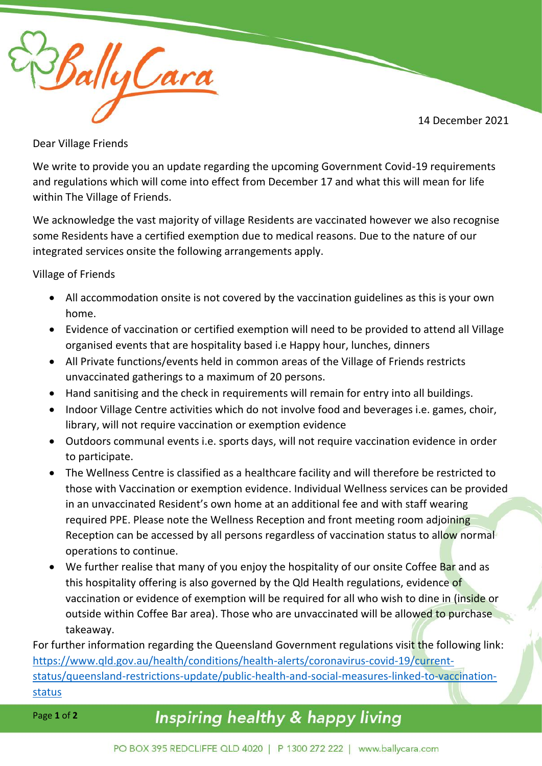

BallyCare

Dear Village Friends

We write to provide you an update regarding the upcoming Government Covid-19 requirements and regulations which will come into effect from December 17 and what this will mean for life within The Village of Friends.

We acknowledge the vast majority of village Residents are vaccinated however we also recognise some Residents have a certified exemption due to medical reasons. Due to the nature of our integrated services onsite the following arrangements apply.

Village of Friends

- All accommodation onsite is not covered by the vaccination guidelines as this is your own home.
- Evidence of vaccination or certified exemption will need to be provided to attend all Village organised events that are hospitality based i.e Happy hour, lunches, dinners
- All Private functions/events held in common areas of the Village of Friends restricts unvaccinated gatherings to a maximum of 20 persons.
- Hand sanitising and the check in requirements will remain for entry into all buildings.
- Indoor Village Centre activities which do not involve food and beverages i.e. games, choir, library, will not require vaccination or exemption evidence
- Outdoors communal events i.e. sports days, will not require vaccination evidence in order to participate.
- The Wellness Centre is classified as a healthcare facility and will therefore be restricted to those with Vaccination or exemption evidence. Individual Wellness services can be provided in an unvaccinated Resident's own home at an additional fee and with staff wearing required PPE. Please note the Wellness Reception and front meeting room adjoining Reception can be accessed by all persons regardless of vaccination status to allow normal operations to continue.
- We further realise that many of you enjoy the hospitality of our onsite Coffee Bar and as this hospitality offering is also governed by the Qld Health regulations, evidence of vaccination or evidence of exemption will be required for all who wish to dine in (inside or outside within Coffee Bar area). Those who are unvaccinated will be allowed to purchase takeaway.

For further information regarding the Queensland Government regulations visit the following link: [https://www.qld.gov.au/health/conditions/health-alerts/coronavirus-covid-19/current](https://www.qld.gov.au/health/conditions/health-alerts/coronavirus-covid-19/current-status/queensland-restrictions-update/public-health-and-social-measures-linked-to-vaccination-status)[status/queensland-restrictions-update/public-health-and-social-measures-linked-to-vaccination](https://www.qld.gov.au/health/conditions/health-alerts/coronavirus-covid-19/current-status/queensland-restrictions-update/public-health-and-social-measures-linked-to-vaccination-status)[status](https://www.qld.gov.au/health/conditions/health-alerts/coronavirus-covid-19/current-status/queensland-restrictions-update/public-health-and-social-measures-linked-to-vaccination-status)

Page **1** of **2**

## Inspiring healthy & happy living